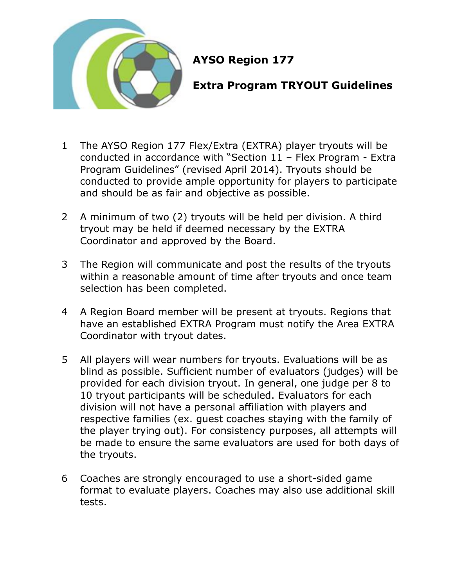

## **AYSO Region 177**

## **Extra Program TRYOUT Guidelines**

- 1 The AYSO Region 177 Flex/Extra (EXTRA) player tryouts will be conducted in accordance with "Section 11 – Flex Program - Extra Program Guidelines" (revised April 2014). Tryouts should be conducted to provide ample opportunity for players to participate and should be as fair and objective as possible.
- 2 A minimum of two (2) tryouts will be held per division. A third tryout may be held if deemed necessary by the EXTRA Coordinator and approved by the Board.
- 3 The Region will communicate and post the results of the tryouts within a reasonable amount of time after tryouts and once team selection has been completed.
- 4 A Region Board member will be present at tryouts. Regions that have an established EXTRA Program must notify the Area EXTRA Coordinator with tryout dates.
- 5 All players will wear numbers for tryouts. Evaluations will be as blind as possible. Sufficient number of evaluators (judges) will be provided for each division tryout. In general, one judge per 8 to 10 tryout participants will be scheduled. Evaluators for each division will not have a personal affiliation with players and respective families (ex. guest coaches staying with the family of the player trying out). For consistency purposes, all attempts will be made to ensure the same evaluators are used for both days of the tryouts.
- 6 Coaches are strongly encouraged to use a short-sided game format to evaluate players. Coaches may also use additional skill tests.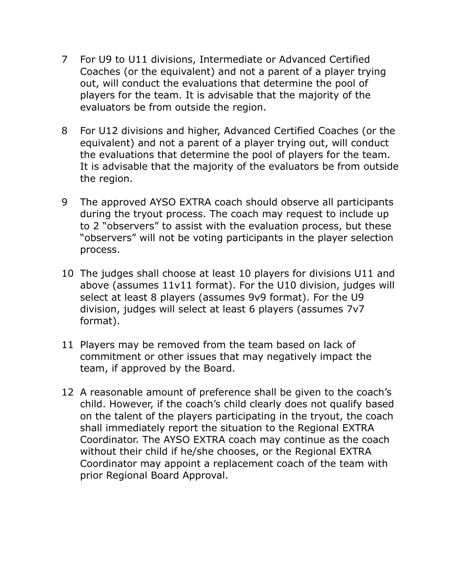- 7 For U9 to U11 divisions, Intermediate or Advanced Certified Coaches (or the equivalent) and not a parent of a player trying out, will conduct the evaluations that determine the pool of players for the team. It is advisable that the majority of the evaluators be from outside the region.
- 8 For U12 divisions and higher, Advanced Certified Coaches (or the equivalent) and not a parent of a player trying out, will conduct the evaluations that determine the pool of players for the team. It is advisable that the majority of the evaluators be from outside the region.
- 9 The approved AYSO EXTRA coach should observe all participants during the tryout process. The coach may request to include up to 2 "observers" to assist with the evaluation process, but these "observers" will not be voting participants in the player selection process.
- 10 The judges shall choose at least 10 players for divisions U11 and above (assumes 11v11 format). For the U10 division, judges will select at least 8 players (assumes 9v9 format). For the U9 division, judges will select at least 6 players (assumes 7v7 format).
- 11 Players may be removed from the team based on lack of commitment or other issues that may negatively impact the team, if approved by the Board.
- 12 A reasonable amount of preference shall be given to the coach's child. However, if the coach's child clearly does not qualify based on the talent of the players participating in the tryout, the coach shall immediately report the situation to the Regional EXTRA Coordinator. The AYSO EXTRA coach may continue as the coach without their child if he/she chooses, or the Regional EXTRA Coordinator may appoint a replacement coach of the team with prior Regional Board Approval.